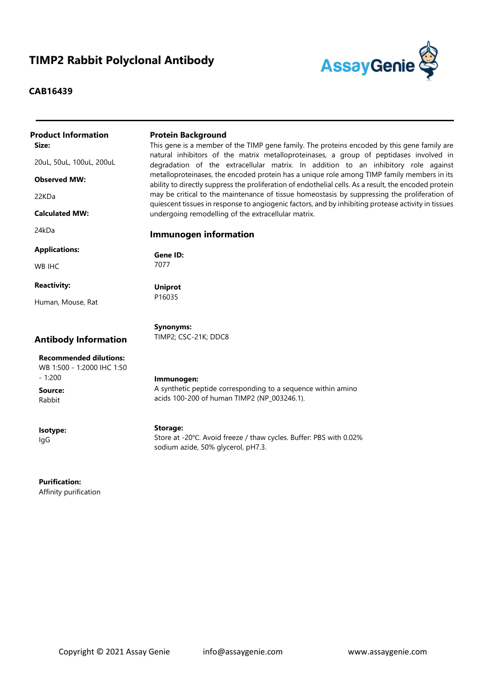## **TIMP2 Rabbit Polyclonal Antibody**

## **CAB16439**



| <b>Product Information</b>                                              | <b>Protein Background</b>                                                                                                                                                                           |
|-------------------------------------------------------------------------|-----------------------------------------------------------------------------------------------------------------------------------------------------------------------------------------------------|
| Size:                                                                   | This gene is a member of the TIMP gene family. The proteins encoded by this gene family are                                                                                                         |
| 20uL, 50uL, 100uL, 200uL                                                | natural inhibitors of the matrix metalloproteinases, a group of peptidases involved in<br>degradation of the extracellular matrix. In addition to an inhibitory role against                        |
| <b>Observed MW:</b>                                                     | metalloproteinases, the encoded protein has a unique role among TIMP family members in its<br>ability to directly suppress the proliferation of endothelial cells. As a result, the encoded protein |
| 22KDa                                                                   | may be critical to the maintenance of tissue homeostasis by suppressing the proliferation of<br>quiescent tissues in response to angiogenic factors, and by inhibiting protease activity in tissues |
| <b>Calculated MW:</b>                                                   | undergoing remodelling of the extracellular matrix.                                                                                                                                                 |
| 24kDa                                                                   | <b>Immunogen information</b>                                                                                                                                                                        |
| <b>Applications:</b>                                                    | Gene ID:                                                                                                                                                                                            |
| <b>WB IHC</b>                                                           | 7077                                                                                                                                                                                                |
| <b>Reactivity:</b>                                                      | <b>Uniprot</b>                                                                                                                                                                                      |
| Human, Mouse, Rat                                                       | P16035                                                                                                                                                                                              |
|                                                                         | <b>Synonyms:</b>                                                                                                                                                                                    |
| <b>Antibody Information</b>                                             | TIMP2; CSC-21K; DDC8                                                                                                                                                                                |
| <b>Recommended dilutions:</b><br>WB 1:500 - 1:2000 IHC 1:50<br>$-1:200$ |                                                                                                                                                                                                     |
| Source:                                                                 | Immunogen:<br>A synthetic peptide corresponding to a sequence within amino                                                                                                                          |
| Rabbit                                                                  | acids 100-200 of human TIMP2 (NP_003246.1).                                                                                                                                                         |
| Isotype:                                                                | <b>Storage:</b>                                                                                                                                                                                     |
| lgG                                                                     | Store at -20°C. Avoid freeze / thaw cycles. Buffer: PBS with 0.02%<br>sodium azide, 50% glycerol, pH7.3.                                                                                            |

**Purification:** Affinity purification